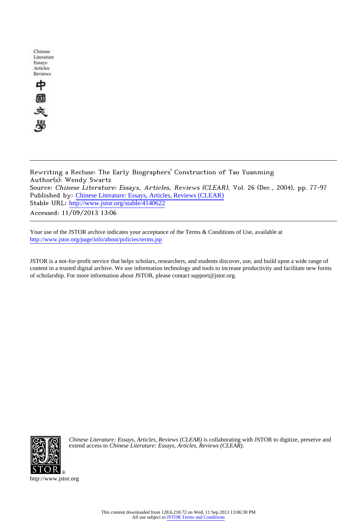Chinese Literature Essays Articles Reviews



Rewriting a Recluse: The Early Biographers' Construction of Tao Yuanming Author(s): Wendy Swartz Source: Chinese Literature: Essays, Articles, Reviews (CLEAR), Vol. 26 (Dec., 2004), pp. 77-97 Published by: [Chinese Literature: Essays, Articles, Reviews \(CLEAR\)](http://www.jstor.org/action/showPublisher?publisherCode=clear) Stable URL: [http://www.jstor.org/stable/4140622](http://www.jstor.org/stable/4140622?origin=JSTOR-pdf) Accessed: 11/09/2013 13:06

Your use of the JSTOR archive indicates your acceptance of the Terms & Conditions of Use, available at <http://www.jstor.org/page/info/about/policies/terms.jsp>

JSTOR is a not-for-profit service that helps scholars, researchers, and students discover, use, and build upon a wide range of content in a trusted digital archive. We use information technology and tools to increase productivity and facilitate new forms of scholarship. For more information about JSTOR, please contact support@jstor.org.



*Chinese Literature: Essays, Articles, Reviews (CLEAR)* is collaborating with JSTOR to digitize, preserve and extend access to *Chinese Literature: Essays, Articles, Reviews (CLEAR).*

http://www.jstor.org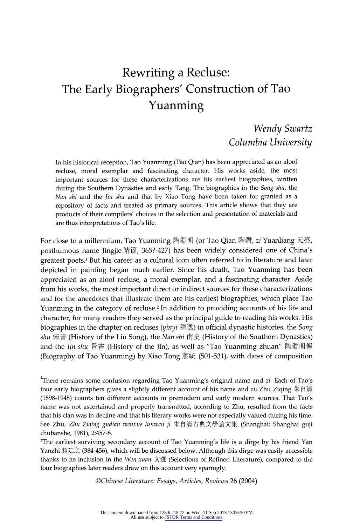# **Rewriting a Recluse: The Early Biographers' Construction of Tao Yuanming**

# **Wendy Swartz Columbia University**

**In his historical reception, Tao Yuanming (Tao Qian) has been appreciated as an aloof recluse, moral exemplar and fascinating character. His works aside, the most important sources for these characterizations are his earliest biographies, written during the Southern Dynasties and early Tang. The biographies in the Song shu, the Nan shi and the Jin shu and that by Xiao Tong have been taken for granted as a repository of facts and treated as primary sources. This article shows that they are products of their compilers' choices in the selection and presentation of materials and are thus interpretations of Tao's life.** 

**For close to a millennium, Tao Yuanming 陶淵明 (or Tao Qian 陶潛, zi Yuanliang 元亮, posthumous name Jingjie fiff, 365?-427) has been widely considered one of China's greatest poets.1 But his career as a cultural icon often referred to in literature and later depicted in painting began much earlier. Since his death, Tao Yuanming has been appreciated as an aloof recluse, a moral exemplar, and a fascinating character. Aside from his works, the most important direct or indirect sources for these characterizations and for the anecdotes that illustrate them are his earliest biographies, which place Tao Yuanming in the category of recluse.2 In addition to providing accounts of his life and character, for many readers they served as the principal guide to reading his works. His biographies in the chapter on recluses (yinyi 隱逸) in official dynastic histories, the Song** s*hu* 宋書 (History of the Liu Song), the N*an shi* 南史 (History of the Southern Dynasties)  $\bar{\bf s}$  and the *Jin shu* 晉書 (History of the Jin), as well as "Tao Yuanming zhuan" 陶淵明傳 **(Biography of Tao Yuanming) by Xiao Tong** 蕭統 (501-531), with dates of composition

**2The earliest surviving secondary account of Tao Yuanming's life is a dirge by his friend Yan**  Yanzhi 顏延之 (384-456), which will be discussed below. Although this dirge was easily accessible **thanks to its inclusion in the Wen xuan Zi5, (Selections of Refined Literature), compared to the four biographies later readers draw on this account very sparingly.** 

**?Chinese Literature: Essays, Articles, Reviews 26 (2004)** 

**<sup>1</sup>There remains some confusion regarding Tao Yuanming's original name and zi. Each of Tao's four early biographers gives a slightly different account of his name and zi; Zhu Ziqing \$N i (1898-1948) counts ten different accounts in premodern and early modem sources. That Tao's name was not ascertained and properly transmitted, according to Zhu, resulted from the facts that his clan was in decline and that his literary works were not especially valued during his time. See Zhu, Zhu Ziqing gudian wenxue lunwen ji 朱自清古典文學論文集 (Shanghai: Shanghai guji chubanshe, 1981), 2:457-8.**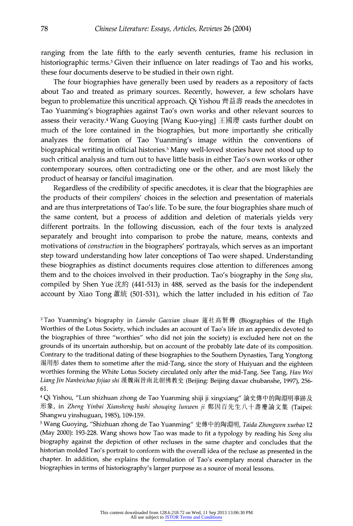**ranging from the late fifth to the early seventh centuries, frame his reclusion in historiographic terms.3 Given their influence on later readings of Tao and his works, these four documents deserve to be studied in their own right.** 

**The four biographies have generally been used by readers as a repository of facts about Tao and treated as primary sources. Recently, however, a few scholars have begun to problematize this uncritical approach. Qi Yishou 齊益壽 reads the anecdotes in Tao Yuanming's biographies against Tao's own works and other relevant sources to**  assess their veracity.<sup>4</sup> Wang Guoying [Wang Kuo-ying] 王國瓔 casts further doubt on **much of the lore contained in the biographies, but more importantly she critically analyzes the formation of Tao Yuanming's image within the conventions of biographical writing in official histories." Many well-loved stories have not stood up to such critical analysis and turn out to have little basis in either Tao's own works or other contemporary sources, often contradicting one or the other, and are most likely the product of hearsay or fanciful imagination.** 

**Regardless of the credibility of specific anecdotes, it is clear that the biographies are the products of their compilers' choices in the selection and presentation of materials and are thus interpretations of Tao's life. To be sure, the four biographies share much of the same content, but a process of addition and deletion of materials yields very different portraits. In the following discussion, each of the four texts is analyzed separately and brought into comparison to probe the nature, means, contexts and motivations of construction in the biographers' portrayals, which serves as an important step toward understanding how later conceptions of Tao were shaped. Understanding these biographies as distinct documents requires close attention to differences among them and to the choices involved in their production. Tao's biography in the Song shu,**  compiled by Shen Yue 沈約 (441-513) in 488, served as the basis for the independent account by Xiao Tong 蕭統 (501-531), which the latter included in his edition of *Tao* 

<sup>&</sup>lt;sup>3</sup> Tao Yuanming's biography in *Lianshe Gaoxian zhuan* 蓮社高賢傳 (Biographies of the High **Worthies of the Lotus Society, which includes an account of Tao's life in an appendix devoted to the biographies of three "worthies" who did not join the society) is excluded here not on the grounds of its uncertain authorship, but on account of the probably late date of its composition. Contrary to the traditional dating of these biographies to the Southern Dynasties, Tang Yongtong M IJI)Y dates them to sometime after the mid-Tang, since the story of Huiyuan and the eighteen worthies forming the White Lotus Society circulated only after the mid-Tang. See Tang, Han Wei**  Liang Jin Nanbeichao fojiao shi 漢魏兩晉南北朝佛教史 (Beijing: Beijing daxue chubanshe, 1997), 256-**61.** 

<sup>&</sup>lt;sup>4</sup> Qi Yishou, "Lun shizhuan zhong de Tao Yuanming shiji ji xingxiang" 論史傳中的陶淵明事跡及 **iF g, in Zheng Yinbai Xiansheng bashi shouqing lunwen ji B 7 - f- : k A \$ • &i (Taipei: Shangwu yinshuguan, 1985), 109-159.** 

<sup>&</sup>lt;sup>5</sup> Wang Guoying, "Shizhuan zhong de Tao Yuanming" 史傳中的陶淵明, Taida Zhongwen xuebao 12 **(May 2000): 193-228. Wang shows how Tao was made to fit a typology by reading his Song shu biography against the depiction of other recluses in the same chapter and concludes that the historian molded Tao's portrait to conform with the overall idea of the recluse as presented in the chapter. In addition, she explains the formulation of Tao's exemplary moral character in the biographies in terms of historiography's larger purpose as a source of moral lessons.**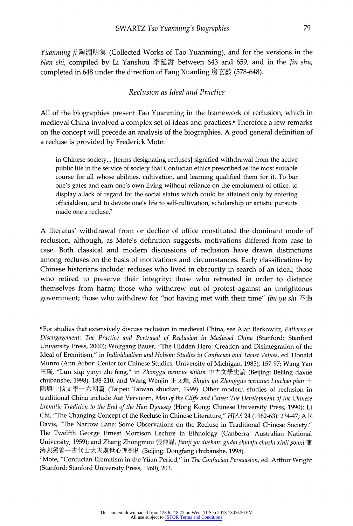Yuanming *i* 陶淵明集 (Collected Works of Tao Yuanming), and for the versions in the **Nan shi, compiled by Li Yanshou 李延壽 between 643 and 659, and in the Jin shu,** completed in 648 under the direction of Fang Xuanling 房玄齡 (578-648).

## **Reclusion as Ideal and Practice**

**All of the biographies present Tao Yuanming in the framework of reclusion, which in medieval China involved a complex set of ideas and practices.6 Therefore a few remarks on the concept will precede an analysis of the biographies. A good general definition of a recluse is provided by Frederick Mote:** 

**in Chinese society... [terms designating recluses] signified withdrawal from the active public life in the service of society that Confucian ethics prescribed as the most suitable course for all whose abilities, cultivation, and learning qualified them for it. To bar one's gates and earn one's own living without reliance on the emolument of office, to display a lack of regard for the social status which could be attained only by entering officialdom, and to devote one's life to self-cultivation, scholarship or artistic pursuits made one a recluse.7** 

**A literatus' withdrawal from or decline of office constituted the dominant mode of reclusion, although, as Mote's definition suggests, motivations differed from case to case. Both classical and modern discussions of reclusion have drawn distinctions among recluses on the basis of motivations and circumstances. Early classifications by Chinese historians include: recluses who lived in obscurity in search of an ideal; those who retired to preserve their integrity; those who retreated in order to distance themselves from harm; those who withdrew out of protest against an unrighteous**  government; those who withdrew for "not having met with their time" (bu yu shi 不遇

**<sup>6</sup>For studies that extensively discuss reclusion in medieval China, see Alan Berkowitz, Patterns of Disengagement: The Practice and Portrayal of Reclusion in Medieval China (Stanford: Stanford University Press, 2000); Wolfgang Bauer, "The Hidden Hero: Creation and Disintegration of the Ideal of Eremitism," in Individualism and Holism: Studies in Confucian and Taoist Values, ed. Donald Munro (Ann Arbor: Center for Chinese Studies, University of Michigan, 1985), 157-97; Wang Yao TEf, "Lun xiqi yinyi zhi feng," in Zhonggu wenxue shilun ? i~ (Beijing: Beijing daxue**  chubanshe, 1998), 188-210; and Wang Wenjin 王文進*, Shiyin yu Zhongguo wenxue: Liuchao pian* 士 **Example 2018 China include Aat Vervoorn, Men of the Cliffs and Caves: The Development of the Chinese** t, 1996), 100-210, and Wang Wenjin **T.X.L.**, *Shiyin ya Zhonggao wenxue. Liachao pian* T.<br>文學一六朝篇 (Taipei: Taiwan shudian, 1999). Other modern studies of reclusion in **Eremitic Tradition to the End of the Han Dynasty (Hong Kong: Chinese University Press, 1990); Li Chi, "The Changing Concept of the Recluse in Chinese Literature," HJAS 24 (1962-63): 234-47; A.R. Davis, "The Narrow Lane: Some Observations on the Recluse in Traditional Chinese Society." The Twelfth George Ernest Morrison Lecture in Ethnology (Canberra: Australian National**  University, 1959); and Zhang Zhongmou 張仲謀, Jianji yu dushan: gudai shidafu chushi xinli pouxi 兼 濟與獨善一古代士大夫處世心理剖析 (Beijing: Dongfang chubanshe, 1998).

<sup>7</sup> Mote, "Confucian Eremitism in the Yüan Period," in The Confucian Persuasion, ed. Arthur Wright **(Stanford: Stanford University Press, 1960), 203.**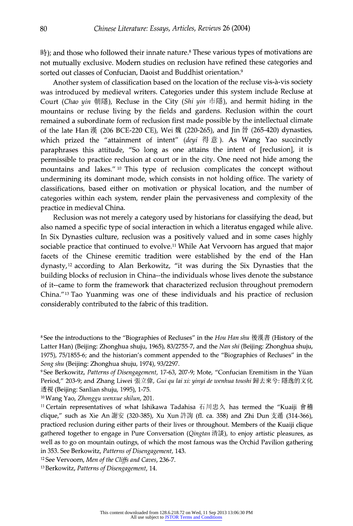**Vf); and those who followed their innate nature.8 These various types of motivations are not mutually exclusive. Modern studies on reclusion have refined these categories and sorted out classes of Confucian, Daoist and Buddhist orientation.9** 

**Another system of classification based on the location of the recluse vis-a-vis society was introduced by medieval writers. Categories under this system include Recluse at**  Court (Chao yin 朝隱), Recluse in the City (Shi yin 市隱), and hermit hiding in the **mountains or recluse living by the fields and gardens. Reclusion within the court remained a subordinate form of reclusion first made possible by the intellectual climate**  of the late Han 漢 (206 BCE-220 CE), Wei 魏 (220-265), and Jin 晉 (265-420) dynasties, which prized the "attainment of intent" (deyi 得意). As Wang Yao succinctly **,,). paraphrases this attitude, "So long as one attains the intent of [reclusion], it is permissible to practice reclusion at court or in the city. One need not hide among the mountains and lakes." 10 This type of reclusion complicates the concept without undermining its dominant mode, which consists in not holding office. The variety of classifications, based either on motivation or physical location, and the number of categories within each system, render plain the pervasiveness and complexity of the practice in medieval China.** 

**Reclusion was not merely a category used by historians for classifying the dead, but also named a specific type of social interaction in which a literatus engaged while alive. In Six Dynasties culture, reclusion was a positively valued and in some cases highly sociable practice that continued to evolve.11 While Aat Vervoorn has argued that major facets of the Chinese eremitic tradition were established by the end of the Han dynasty,12 according to Alan Berkowitz, "it was during the Six Dynasties that the building blocks of reclusion in China--the individuals whose lives denote the substance of it--came to form the framework that characterized reclusion throughout premodern China."13 Tao Yuanming was one of these individuals and his practice of reclusion considerably contributed to the fabric of this tradition.** 

**10Wang Yao, Zhonggu wenxue shilun, 201.** 

**<sup>8</sup>See the introductions to the "Biographies of Recluses" in the Hou Han shu f\_/ (History of the Latter Han) (Beijing: Zhonghua shuju, 1965), 83/2755-7, and the Nan shi (Beijing: Zhonghua shuju, 1975), 75/1855-6; and the historian's comment appended to the "Biographies of Recluses" in the Song shu (Beijing: Zhonghua shuju, 1974), 93/2297.** 

**<sup>9</sup>See Berkowitz, Patterns of Disengagement, 17-63, 207-9; Mote, "Confucian Eremitism in the Yiian**  Period," 203-9; and Zhang Liwei 張立偉*, Gui qu lai xi: yinyi de wenhua toushi* 歸去來兮: 隱逸的文化<br>透視 (Beijing: Sanlian shuju, 1995), 1-75. 透視 (Beijing: Sanlian shuju, 1995), 1-75. **i-#:** 

<sup>&</sup>lt;sup>11</sup> Certain representatives of what Ishikawa Tadahisa 石川忠久 has termed the "Kuaiji 會稽 clique," such as Xie An 謝安 (320-385), Xu Xun 許詢 (fl. ca. 358) and Zhi Dun 支遁 (314-366), **Wil\_ practiced reclusion during either parts of their lives or throughout. Members of the Kuaiji clique**  gathered together to engage in Pure Conversation (Q*ingtan* 清談), to enjoy artistic pleasures, as<br>well as to go on mountain outings, of which the most famous was the Orchid Pavilion gathering **well as to go on mountain outings, of which the most famous was the Orchid Pavilion gathering in 353. See Berkowitz, Patterns of Disengagement, 143.** 

**<sup>12</sup> See Vervoorn, Men of the Cliffs and Caves, 236-7.** 

**<sup>13</sup> Berkowitz, Patterns of Disengagement, 14.**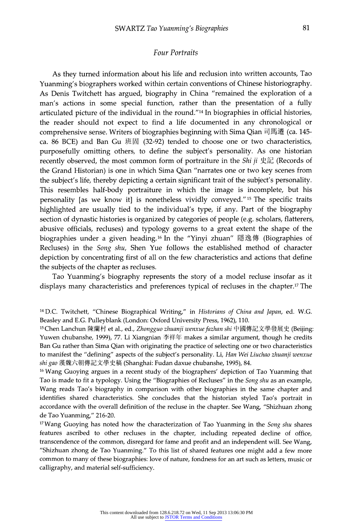### **Four Portraits**

**As they turned information about his life and reclusion into written accounts, Tao Yuanming's biographers worked within certain conventions of Chinese historiography. As Denis Twitchett has argued, biography in China "remained the exploration of a man's actions in some special function, rather than the presentation of a fully articulated picture of the individual in the round."14 In biographies in official histories, the reader should not expect to find a life documented in any chronological or**  comprehensive sense. Writers of biographies beginning with Sima Qian 司馬遷 (ca. 145**ca. 86 BCE) and Ban Gu \*FM (32-92) tended to choose one or two characteristics, purposefully omitting others, to define the subject's personality. As one historian recently observed, the most common form of portraiture in the** *Shi ji* **史記 (Records of the Grand Historian) is one in which Sima Qian "narrates one or two key scenes from the subject's life, thereby depicting a certain significant trait of the subject's personality. This resembles half-body portraiture in which the image is incomplete, but his personality [as we know it] is nonetheless vividly conveyed."15 The specific traits highlighted are usually tied to the individual's type, if any. Part of the biography section of dynastic histories is organized by categories of people (e.g. scholars, flatterers, abusive officials, recluses) and typology governs to a great extent the shape of the**  biographies under a given heading.<sup>16</sup> In the "Yinyi zhuan" 隱逸傳 (Biographies of **Recluses) in the Song shu, Shen Yue follows the established method of character depiction by concentrating first of all on the few characteristics and actions that define the subjects of the chapter as recluses.** 

**Tao Yuanming's biography represents the story of a model recluse insofar as it displays many characteristics and preferences typical of recluses in the chapter.17 The** 

**<sup>14</sup>D.C. Twitchett, "Chinese Biographical Writing," in Historians of China and Japan, ed. W.G. Beasley and E.G. Pulleyblank (London: Oxford University Press, 1962), 110.** 

<sup>&</sup>lt;sup>15</sup> Chen Lanchun 陳蘭村 et al., ed., Zhongguo zhuanji wenxue fazhan shi 中國傳記文學發展史 (Beijing: **Yuwen chubanshe, 1999), 77. Li Xiangnian 14\* makes a similar argument, though he credits Ban Gu rather than Sima Qian with originating the practice of selecting one or two characteristics to manifest the "defining" aspects of the subject's personality. Li, Han Wei Liuchao zhuanji wenxue shi gao \$ }/- /i~\_Pi M (Shanghai: Fudan daxue chubanshe, 1995), 84.** 

**<sup>16</sup>Wang Guoying argues in a recent study of the biographers' depiction of Tao Yuanming that Tao is made to fit a typology. Using the "Biographies of Recluses" in the Song shu as an example, Wang reads Tao's biography in comparison with other biographies in the same chapter and identifies shared characteristics. She concludes that the historian styled Tao's portrait in accordance with the overall definition of the recluse in the chapter. See Wang, "Shizhuan zhong de Tao Yuanming," 216-20.** 

**<sup>17</sup>Wang Guoying has noted how the characterization of Tao Yuanming in the Song shu shares features ascribed to other recluses in the chapter, including repeated decline of office, transcendence of the common, disregard for fame and profit and an independent will. See Wang, "Shizhuan zhong de Tao Yuanming." To this list of shared features one might add a few more common to many of these biographies: love of nature, fondness for an art such as letters, music or calligraphy, and material self-sufficiency.**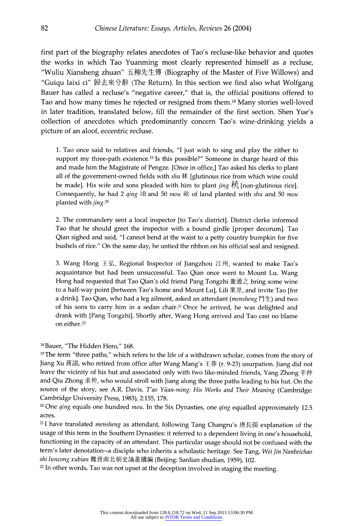**first part of the biography relates anecdotes of Tao's recluse-like behavior and quotes the works in which Tao Yuanming most clearly represented himself as a recluse,**  "Wuliu Xiansheng zhuan" 五柳先生傳 (Biography of the Master of Five Willows) and "Guiqu laixi ci" 歸去來兮辭 (The Return). In this section we find also what Wolfgang Bauer has called a recluse's "negative career," that is, the official positions offered to **Tao and how many times he rejected or resigned from them.18 Many stories well-loved in later tradition, translated below, fill the remainder of the first section. Shen Yue's collection of anecdotes which predominantly concern Tao's wine-drinking yields a picture of an aloof, eccentric recluse.** 

**1. Tao once said to relatives and friends, "I just wish to sing and play the zither to support my three-path existence.19 Is this possible?" Someone in charge heard of this and made him the Magistrate of Pengze. [Once in office,] Tao asked his clerks to plant all of the government-owned fields with shu # [glutinous rice from which wine could be made]. His wife and sons pleaded with him to plant** *jing* $\overline{M}$  **[non-glutinous rice].** Consequently, he had 2 qing 頃 and 50 mou 畝 of land planted with shu and 50 mou **planted with jing.20** 

**2. The commandery sent a local inspector [to Tao's district]. District clerks informed Tao that he should greet the inspector with a bound girdle [proper decorum]. Tao Qian sighed and said, "I cannot bend at the waist to a petty country bumpkin for five bushels of rice." On the same day, he untied the ribbon on his official seal and resigned.** 

3. Wang Hong 王弘, Regional Inspector of Jiangzhou 江州, wanted to make Tao's **acquaintance but had been unsuccessful. Tao Qian once went to Mount Lu. Wang**  Hong had requested that Tao Qian's old friend Pang Tongzhi 龐通之 bring some wine to a half-way point [between Tao's home and Mount Lu], Lili 栗里, and invite Tao [for a drink]. Tao Qian, who had a leg ailment, asked an attendant (mensheng 門生) and two **of his sons to carry him in a sedan chair.21 Once he arrived, he was delighted and drank with [Pang Tongzhi]. Shortly after, Wang Hong arrived and Tao cast no blame on either.22** 

**18Bauer, "The Hidden Hero," 168.** 

<sup>19</sup> The term "three paths," which refers to the life of a withdrawn scholar, comes from the story of Jiang Xu 蔣詡, who retired from office after Wang Mang's 王莽 (r. 9-23) usurpation. Jiang did not leave the vicinity of his hut and associated only with two like-minded friends, Yang Zhong 羊仲 **and Qiu Zhong 求仲, who would stroll with Jiang along the three paths leading to his hut. On the source of the story, see A.R. Davis,** *T'en Vijan wing***:** *His Works and Their Mentine (Combridan***) source of the story, see A.R. Davis, T'ao Yiian-ming: His Works and Their Meaning (Cambridge: Cambridge University Press, 1983), 2:155, 178.** 

**<sup>20</sup>One qing equals one hundred mou. In the Six Dynasties, one qing equalled approximately 12.5 acres.** 

<sup>21</sup>I have translated *mensheng* as attendant, following Tang Changru's 唐長孺 explanation of the **usage of this term in the Southern Dynasties: it referred to a dependent living in one's household, functioning in the capacity of an attendant. This particular usage should not be confused with the term's later denotation--a disciple who inherits a scholastic heritage. See Tang, Wei Jin Nanbeichao shi luncong xubian • }j5••i aM (Beijing: Sanlian shudian, 1959), 102.** 

<sup>22</sup> In other words, Tao was not upset at the deception involved in staging the meeting.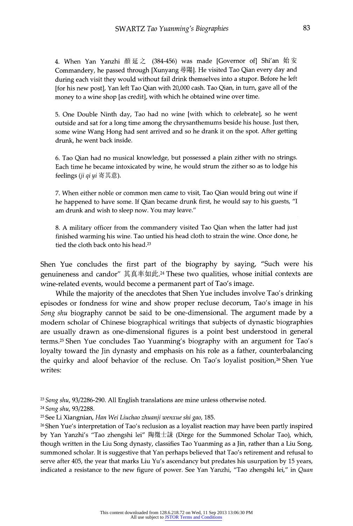**4. When Yan Yanzhi 顏延之 (384-456) was made [Governor of] Shi'an 始安** Commandery, he passed through [Xunyang 尋陽]. He visited Tao Qian every day and **during each visit they would without fail drink themselves into a stupor. Before he left [for his new post], Yan left Tao Qian with 20,000 cash. Tao Qian, in turn, gave all of the money to a wine shop [as credit], with which he obtained wine over time.** 

**5. One Double Ninth day, Tao had no wine [with which to celebrate], so he went outside and sat for a long time among the chrysanthemums beside his house. Just then, some wine Wang Hong had sent arrived and so he drank it on the spot. After getting drunk, he went back inside.** 

**6. Tao Qian had no musical knowledge, but possessed a plain zither with no strings. Each time he became intoxicated by wine, he would strum the zither so as to lodge his**  feelings (*ji qi yi* 寄其意).

**7. When either noble or common men came to visit, Tao Qian would bring out wine if he happened to have some. If Qian became drunk first, he would say to his guests, "I am drunk and wish to sleep now. You may leave."** 

**8. A military officer from the commandery visited Tao Qian when the latter had just finished warming his wine. Tao untied his head cloth to strain the wine. Once done, he tied the cloth back onto his head.23** 

**Shen Yue concludes the first part of the biography by saying, "Such were his genuineness and candor" These two qualities, whose initial contexts are**  wine-related events, would become a permanent part of Tao's image.

**While the majority of the anecdotes that Shen Yue includes involve Tao's drinking episodes or fondness for wine and show proper recluse decorum, Tao's image in his Song shu biography cannot be said to be one-dimensional. The argument made by a modern scholar of Chinese biographical writings that subjects of dynastic biographies are usually drawn as one-dimensional figures is a point best understood in general terms.25 Shen Yue concludes Tao Yuanming's biography with an argument for Tao's loyalty toward the Jin dynasty and emphasis on his role as a father, counterbalancing the quirky and aloof behavior of the recluse. On Tao's loyalist position,26 Shen Yue writes:** 

**23 Song shu, 93/2286-290. All English translations are mine unless otherwise noted.** 

**26 Shen Yue's interpretation of Tao's reclusion as a loyalist reaction may have been partly inspired by Yan Yanzhi's "Tao zhengshi lei" ?\$\$1\$ (Dirge for the Summoned Scholar Tao), which, though written in the Liu Song dynasty, classifies Tao Yuanming as a Jin, rather than a Liu Song, summoned scholar. It is suggestive that Yan perhaps believed that Tao's retirement and refusal to serve after 405, the year that marks Liu Yu's ascendancy but predates his usurpation by 15 years, indicated a resistance to the new figure of power. See Yan Yanzhi, "Tao zhengshi lei," in Quan** 

**<sup>24</sup> Song shu, 93/2288.** 

**<sup>25</sup>See Li Xiangnian, Han Wei Liuchao zhuanji wenxue shi gao, 185.**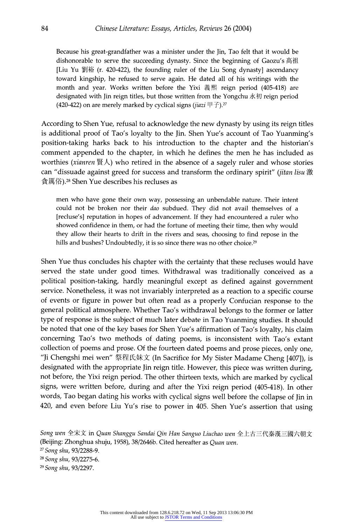**Because his great-grandfather was a minister under the Jin, Tao felt that it would be**  dishonorable to serve the succeeding dynasty. Since the beginning of Gaozu's 高祖 **[Liu Yu NIJ6 (r. 420-422), the founding ruler of the Liu Song dynasty] ascendancy toward kingship, he refused to serve again. He dated all of his writings with the month and year. Works written before the Yixi %! reign period (405-418) are**  designated with Jin reign titles, but those written from the Yongchu 永初 reign period **(420-422) on are merely marked by cyclical signs (jiazi <sup>F</sup>P).27** 

**According to Shen Yue, refusal to acknowledge the new dynasty by using its reign titles is additional proof of Tao's loyalty to the Jin. Shen Yue's account of Tao Yuanming's position-taking harks back to his introduction to the chapter and the historian's comment appended to the chapter, in which he defines the men he has included as**  worthies (xianren 賢人) who retired in the absence of a sagely ruler and whose stories can "dissuade against greed for success and transform the ordinary spirit" (jitan lisu 激 **AI)().28 Shen Yue describes his recluses as** 

**men who have gone their own way, possessing an unbendable nature. Their intent could not be broken nor their dao subdued. They did not avail themselves of a [recluse's] reputation in hopes of advancement. If they had encountered a ruler who showed confidence in them, or had the fortune of meeting their time, then why would they allow their hearts to drift in the rivers and seas, choosing to find repose in the hills and bushes? Undoubtedly, it is so since there was no other choice.29** 

**Shen Yue thus concludes his chapter with the certainty that these recluses would have served the state under good times. Withdrawal was traditionally conceived as a political position-taking, hardly meaningful except as defined against government service. Nonetheless, it was not invariably interpreted as a reaction to a specific course of events or figure in power but often read as a properly Confucian response to the general political atmosphere. Whether Tao's withdrawal belongs to the former or latter type of response is the subject of much later debate in Tao Yuanming studies. It should be noted that one of the key bases for Shen Yue's affirmation of Tao's loyalty, his claim concerning Tao's two methods of dating poems, is inconsistent with Tao's extant collection of poems and prose. Of the fourteen dated poems and prose pieces, only one,**  "Ji Chengshi mei wen" 祭程氏妹文 (In Sacrifice for My Sister Madame Cheng [407]), is **, designated with the appropriate Jin reign title. However, this piece was written during, not before, the Yixi reign period. The other thirteen texts, which are marked by cyclical signs, were written before, during and after the Yixi reign period (405-418). In other words, Tao began dating his works with cyclical signs well before the collapse of Jin in 420, and even before Liu Yu's rise to power in 405. Shen Yue's assertion that using** 

**29 Song shu, 93/2297.** 

**Song wen 全宋文 in Quan Shanggu Sandai Qin Han Sanguo Liuchao wen 全上古三代秦漢三國六朝文** (Beijing: Zhonghua shuju, 1958), 38/2646b. Cited hereafter as *Quan wen*.

**<sup>27</sup> Song shu, 93/2288-9.** 

**<sup>28</sup> Song shu, 93/2275-6.**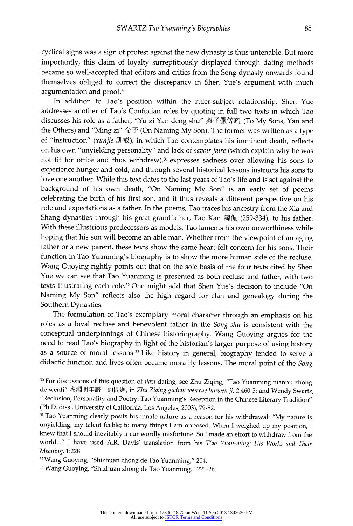**cyclical signs was a sign of protest against the new dynasty is thus untenable. But more importantly, this claim of loyalty surreptitiously displayed through dating methods became so well-accepted that editors and critics from the Song dynasty onwards found themselves obliged to correct the discrepancy in Shen Yue's argument with much argumentation and proof.30** 

**In addition to Tao's position within the ruler-subject relationship, Shen Yue addresses another of Tao's Confucian roles by quoting in full two texts in which Tao**  discusses his role as a father, "Yu zi Yan deng shu" 與子儼等疏 (To My Sons, Yan and<br>the Others) and "Ming ri" 金子 (On Naming My Son). The forman was written as a time the Others) and "Ming zi" 命子 (On Naming My Son). The former was written as a type of "instruction" (xunjie 訓戒), in which Tao contemplates his imminent death, reflects **on his own "unyielding personality" and lack of savoir-faire (which explain why he was**  not fit for office and thus withdrew),<sup>31</sup> expresses sadness over allowing his sons to **experience hunger and cold, and through several historical lessons instructs his sons to love one another. While this text dates to the last years of Tao's life and is set against the background of his own death, "On Naming My Son" is an early set of poems celebrating the birth of his first son, and it thus reveals a different perspective on his role and expectations as a father. In the poems, Tao traces his ancestry from the Xia and**  Shang dynasties through his great-grandfather, Tao Kan 陶侃 (259-334), to his father. **With these illustrious predecessors as models, Tao laments his own unworthiness while hoping that his son will become an able man. Whether from the viewpoint of an aging father or a new parent, these texts show the same heart-felt concern for his sons. Their function in Tao Yuanming's biography is to show the more human side of the recluse. Wang Guoying rightly points out that on the sole basis of the four texts cited by Shen Yue we can see that Tao Yuanming is presented as both recluse and father, with two texts illustrating each role.32 One might add that Shen Yue's decision to include "On Naming My Son" reflects also the high regard for clan and genealogy during the Southern Dynasties.** 

**The formulation of Tao's exemplary moral character through an emphasis on his roles as a loyal recluse and benevolent father in the Song shu is consistent with the conceptual underpinnings of Chinese historiography. Wang Guoying argues for the need to read Tao's biography in light of the historian's larger purpose of using history as a source of moral lessons.33 Like history in general, biography tended to serve a didactic function and lives often became morality lessons. The moral point of the Song** 

**<sup>31</sup>Tao Yuanming clearly posits his innate nature as a reason for his withdrawal: "My nature is unyielding, my talent feeble; to many things I am opposed. When I weighed up my position, I knew that I should inevitably incur wordly misfortune. So I made an effort to withdraw from the world..." I have used A.R. Davis' translation from his T'ao Yiian-ming: His Works and Their Meaning, 1:228.** 

**<sup>32</sup>Wang Guoying, "Shizhuan zhong de Tao Yuanming," 204.** 

**33 Wang Guoying, "Shizhuan zhong de Tao Yuanming," 221-26.** 

**<sup>30</sup>For discussions of this question of jiazi dating, see Zhu Ziqing, "Tao Yuanming nianpu zhong**  and the matemeters of the question of *final* during, see 2nd 21qmg, and indimiting manpu 2nong<br>de wenti" 陶淵明年譜中的問題, in Zhu Ziqing gudian wenxue lunwen ji, 2:460-5; and Wendy Swartz, **,, "Reclusion, Personality and Poetry: Tao Yuanming's Reception in the Chinese Literary Tradition" (Ph.D. diss., University of California, Los Angeles, 2003), 79-82.**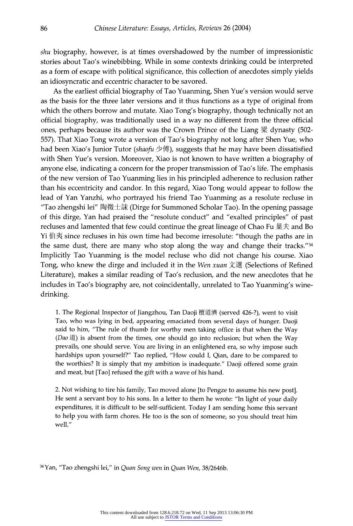**shu biography, however, is at times overshadowed by the number of impressionistic stories about Tao's winebibbing. While in some contexts drinking could be interpreted as a form of escape with political significance, this collection of anecdotes simply yields an idiosyncratic and eccentric character to be savored.** 

**As the earliest official biography of Tao Yuanming, Shen Yue's version would serve as the basis for the three later versions and it thus functions as a type of original from which the others borrow and mutate. Xiao Tong's biography, though technically not an official biography, was traditionally used in a way no different from the three official ones, perhaps because its author was the Crown Prince of the Liang ?9 dynasty (502- 557). That Xiao Tong wrote a version of Tao's biography not long after Shen Yue, who**  had been Xiao's Junior Tutor (shaofu 少傅), suggests that he may have been dissatisfied **with Shen Yue's version. Moreover, Xiao is not known to have written a biography of anyone else, indicating a concern for the proper transmission of Tao's life. The emphasis of the new version of Tao Yuanming lies in his principled adherence to reclusion rather than his eccentricity and candor. In this regard, Xiao Tong would appear to follow the lead of Yan Yanzhi, who portrayed his friend Tao Yuanming as a resolute recluse in "Tao zhengshi lei" P04?-l (Dirge for Summoned Scholar Tao). In the opening passage of this dirge, Yan had praised the "resolute conduct" and "exalted principles" of past recluses and lamented that few could continue the great lineage of Chao Fu 巢夫 and Bo Yi** 伯夷 since recluses in his own time had become irresolute: "though the paths are in **the same dust, there are many who stop along the way and change their tracks."34 Implicitly Tao Yuanming is the model recluse who did not change his course. Xiao**  Tong, who knew the dirge and included it in the Wen xuan 文選 (Selections of Refined **Literature), makes a similar reading of Tao's reclusion, and the new anecdotes that he includes in Tao's biography are, not coincidentally, unrelated to Tao Yuanming's winedrinking.** 

**1. The Regional Inspector of Jiangzhou, Tan Daoji (served 426-?), went to visit**  Tao, who was lying in bed, appearing emaciated from several days of hunger. Daoji **said to him, "The rule of thumb for worthy men taking office is that when the Way (Dao A-) is absent from the times, one should go into reclusion; but when the Way prevails, one should serve. You are living in an enlightened era, so why impose such hardships upon yourself?" Tao replied, "How could I, Qian, dare to be compared to the worthies? It is simply that my ambition is inadequate." Daoji offered some grain and meat, but [Tao] refused the gift with a wave of his hand.** 

**2. Not wishing to tire his family, Tao moved alone [to Pengze to assume his new post]. He sent a servant boy to his sons. In a letter to them he wrote: "In light of your daily expenditures, it is difficult to be self-sufficient. Today I am sending home this servant to help you with farm chores. He too is the son of someone, so you should treat him well."** 

**34Yan, "Tao zhengshi lei," in Quan Song wen in Quan Wen, 38/2646b.**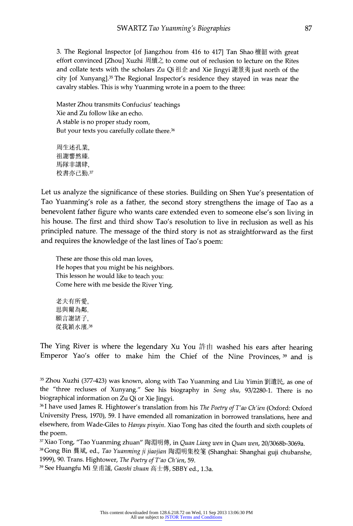3. The Regional Inspector [of Jiangzhou from 416 to 417] Tan Shao 檀韶 with great **effort convinced [Zhou] Xuzhi** 周續之 to come out of reclusion to lecture on the Rites and collate texts with the scholars Zu Qi 祖企 and Xie Jingyi 謝景夷 just north of the **city [of Xunyang].35 The Regional Inspector's residence they stayed in was near the cavalry stables. This is why Yuanming wrote in a poem to the three:** 

**Master Zhou transmits Confucius' teachings Xie and Zu follow like an echo. A stable is no proper study room, But your texts you carefully collate there.36** 

周生述孔業, 祖謝響然臻. 馬隊非講肆. 校書亦已勤.37

**Let us analyze the significance of these stories. Building on Shen Yue's presentation of Tao Yuanming's role as a father, the second story strengthens the image of Tao as a benevolent father figure who wants care extended even to someone else's son living in his house. The first and third show Tao's resolution to live in reclusion as well as his principled nature. The message of the third story is not as straightforward as the first and requires the knowledge of the last lines of Tao's poem:** 

**These are those this old man loves, He hopes that you might be his neighbors. This lesson he would like to teach you: Come here with me beside the River Ying.** 

老夫有所愛, 思與爾為鄰. 願言謝諸子, 從我穎水濱.38

The Ying River is where the legendary Xu You 許由 washed his ears after hearing **Emperor Yao's offer to make him the Chief of the Nine Provinces, 39 and is** 

37 Xiao Tong, "Tao Yuanming zhuan" 陶淵明傳, in Quan Liang wen in Quan wen, 20/3068b-3069a.

**38Gong Bin •, ed., Tao Yuanming ji jiaojian \$@ \_&l (Shanghai: Shanghai guji chubanshe, 1999), 90. Trans. Hightower, The Poetry of T'ao Ch'ien, 59.** 

<sup>39</sup> See Huangfu Mi 皇甫謐, Gaoshi zhuan 高士傳, SBBY ed., 1.3a.

<sup>&</sup>lt;sup>35</sup> Zhou Xuzhi (377-423) was known, along with Tao Yuanming and Liu Yimin 劉遺民, as one of **the "three recluses of Xunyang." See his biography in Song shu, 93/2280-1. There is no biographical information on Zu Qi or Xie Jingyi.** 

<sup>&</sup>lt;sup>36</sup>I have used James R. Hightower's translation from his *The Poetry of T'ao Ch'ien* (Oxford: Oxford **University Press, 1970), 59. I have emended all romanization in borrowed translations, here and elsewhere, from Wade-Giles to Hanyu pinyin. Xiao Tong has cited the fourth and sixth couplets of the poem.**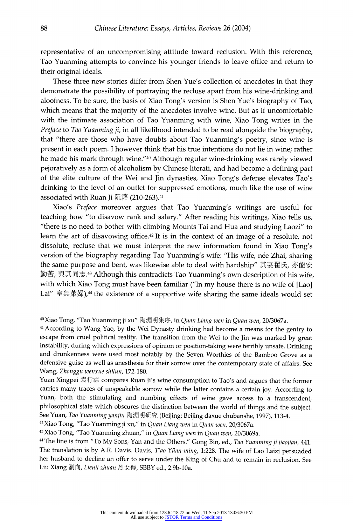**representative of an uncompromising attitude toward reclusion. With this reference, Tao Yuanming attempts to convince his younger friends to leave office and return to their original ideals.** 

**These three new stories differ from Shen Yue's collection of anecdotes in that they demonstrate the possibility of portraying the recluse apart from his wine-drinking and aloofness. To be sure, the basis of Xiao Tong's version is Shen Yue's biography of Tao, which means that the majority of the anecdotes involve wine. But as if uncomfortable with the intimate association of Tao Yuanming with wine, Xiao Tong writes in the Preface to Tao Yuanming ji, in all likelihood intended to be read alongside the biography, that "there are those who have doubts about Tao Yuanming's poetry, since wine is present in each poem. I however think that his true intentions do not lie in wine; rather he made his mark through wine."40 Although regular wine-drinking was rarely viewed pejoratively as a form of alcoholism by Chinese literati, and had become a defining part of the elite culture of the Wei and Jin dynasties, Xiao Tong's defense elevates Tao's drinking to the level of an outlet for suppressed emotions, much like the use of wine**  associated with Ruan Ji 阮籍 (210-263).<sup>41</sup>

**Xiao's Preface moreover argues that Tao Yuanming's writings are useful for teaching how "to disavow rank and salary." After reading his writings, Xiao tells us, "there is no need to bother with climbing Mounts Tai and Hua and studying Laozi" to**  learn the art of disavowing office.<sup>42</sup> It is in the context of an image of a resolute, not **dissolute, recluse that we must interpret the new information found in Xiao Tong's version of the biography regarding Tao Yuanming's wife: "His wife, nee Zhai, sharing**  the same purpose and bent, was likewise able to deal with hardship" 其妻翟氏, 亦能安 **MJ, .43 Although this contradicts Tao Yuanming's own description of his wife,**  with which Xiao Tong must have been familiar ("In my house there is no wife of [Lao] Lai<sup>''</sup> 室無萊婦),<sup>44</sup> the existence of a supportive wife sharing the same ideals would set

**<sup>42</sup>Xiao Tong, "Tao Yuanming ji xu," in Quan Liang wen in Quan wen, 20/3067a.** 

**<sup>43</sup>Xiao Tong, "Tao Yuanming zhuan," in Quan Liang wen in Quan wen, 20/3069a.** 

**<sup>44</sup>The line is from "To My Sons, Yan and the Others." Gong Bin, ed., Tao Yuanming ji jiaojian, 441. The translation is by A.R. Davis. Davis, T'ao Yiian-ming, 1:228. The wife of Lao Laizi persuaded her husband to decline an offer to serve under the King of Chu and to remain in reclusion. See**  Liu Xiang 劉向, Lienü zhuan 烈女傳, SBBY ed., 2.9b-10a.

<sup>&</sup>lt;sup>40</sup>Xiao Tong, "Tao Yuanming ji xu" 陶淵明集序, in Quan Liang wen in Quan wen, 20/3067a.<br><sup>41</sup> According to Wang Yao, by the Wei Dynasty drinking had become a means for the gentry to **escape from cruel political reality. The transition from the Wei to the Jin was marked by great instability, during which expressions of opinion or position-taking were terribly unsafe. Drinking and drunkenness were used most notably by the Seven Worthies of the Bamboo Grove as a defensive guise as well as anesthesia for their sorrow over the contemporary state of affairs. See Wang, Zhonggu wenxue shilun, 172-180.** 

Yuan Xingpei 袁行霈 compares Ruan Ji's wine consumption to Tao's and argues that the former **Aff, carries many traces of unspeakable sorrow while the latter contains a certain joy. According to Yuan, both the stimulating and numbing effects of wine gave access to a transcendent, philosophical state which obscures the distinction between the world of things and the subject. See Yuan, Tao Yuanming yanjiu RAMfiYF (Beijing: Beijing daxue chubanshe, 1997), 113-4.**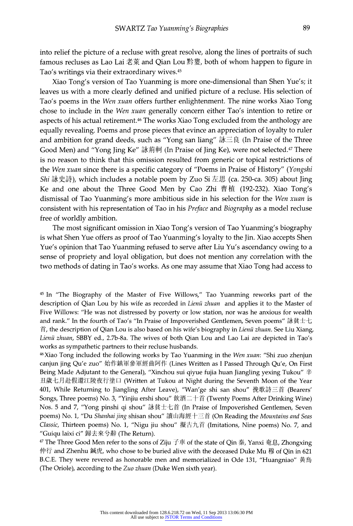**into relief the picture of a recluse with great resolve, along the lines of portraits of such**  famous recluses as Lao Lai 老萊 and Qian Lou 黔婁, both of whom happen to figure in **Tao's writings via their extraordinary wives.45** 

**Xiao Tong's version of Tao Yuanming is more one-dimensional than Shen Yue's; it leaves us with a more clearly defined and unified picture of a recluse. His selection of Tao's poems in the Wen xuan offers further enlightenment. The nine works Xiao Tong chose to include in the Wen xuan generally concern either Tao's intention to retire or aspects of his actual retirement.46 The works Xiao Tong excluded from the anthology are equally revealing. Poems and prose pieces that evince an appreciation of loyalty to ruler**  and ambition for grand deeds, such as "Yong san liang" 詠三良 (In Praise of the Three Good Men) and "Yong Jing Ke" 詠荊軻 (In Praise of Jing Ke), were not selected.<sup>47</sup> There **is no reason to think that this omission resulted from generic or topical restrictions of the Wen xuan since there is a specific category of "Poems in Praise of History" (Yongshi**   $Sh$ i 詠史詩), which includes a notable poem by Zuo Si 左思 (ca. 250-ca. 305) about Jing Ke and one about the Three Good Men by Cao Zhi 曹植 (192-232). Xiao Tong's **dismissal of Tao Yuanming's more ambitious side in his selection for the Wen xuan is consistent with his representation of Tao in his Preface and Biography as a model recluse free of worldly ambition.** 

**The most significant omission in Xiao Tong's version of Tao Yuanming's biography is what Shen Yue offers as proof of Tao Yuanming's loyalty to the Jin. Xiao accepts Shen Yue's opinion that Tao Yuanming refused to serve after Liu Yu's ascendancy owing to a sense of propriety and loyal obligation, but does not mention any correlation with the two methods of dating in Tao's works. As one may assume that Xiao Tong had access to** 

**<sup>45</sup>In "The Biography of the Master of Five Willows," Tao Yuanming reworks part of the description of Qian Lou by his wife as recorded in Lienii zhuan and applies it to the Master of Five Willows: "He was not distressed by poverty or low station, nor was he anxious for wealth**  and rank." In the fourth of Tao's "In Praise of Impoverished Gentlemen, Seven poems" 詠貧士七 **-6, the description of Qian Lou is also based on his wife's biography in Lienii zhuan. See Liu Xiang, Lienii zhuan, SBBY ed., 2.7b-8a. The wives of both Qian Lou and Lao Lai are depicted in Tao's works as sympathetic partners to their recluse husbands.** 

**<sup>46</sup>Xiao Tong included the following works by Tao Yuanming in the Wen xuan: "Shi zuo zhenjun canjun jing Qu'e zuo" M1A1\_W ~WUA \_ P (Lines Written as I Passed Through Qu'e, On First**  Being Made Adjutant to the General), "Xinchou sui qiyue fujia huan Jiangling yexing Tukou" 辛 **riqf-L)4 ) Ilf • R ra (Written at Tukou at Night during the Seventh Moon of the Year**  401, While Returning to Jiangling After Leave), "Wan'ge shi san shou" 挽歌詩三首 (Bearers' **Songs, Three poems) No. 3, "Yinjiu ershi shou" 飲酒二十首 (Twenty Poems After Drinking Wine) Nos. 5 and 7, "Yong pinshi qi shou" 詠貧士七首 (In Praise of Impoverished Gentlemen, Seven** poems) No. 1, "Du *Shanhai jing shisan shou"* 讀山海經十三首 (On Reading the *Mountains and Seas* reassic, Thirteen poems) No. 1, "Nigu jiu shou" 擬古九首 (Imitations, Nine poems) No. 7, and **"Guiqu laixi ci" •-\$2%# (The Return).** 

<sup>&</sup>lt;sup>47</sup> The Three Good Men refer to the sons of Ziju 子車 of the state of Qin 秦, Yanxi 奄息, Zhongxing **# MT and Zhenhu Ati, who chose to be buried alive with the deceased Duke Mu \$ of Qin in 621 B.C.E. They were revered as honorable men and memorialized in Ode 131, "Huangniao"** 黄鳥 (The Oriole), according to the Zuo *zhuan* (Duke Wen sixth year).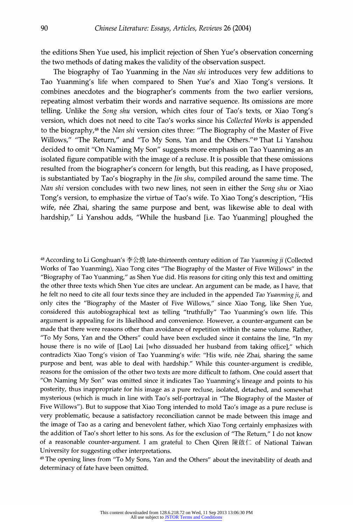**the editions Shen Yue used, his implicit rejection of Shen Yue's observation concerning the two methods of dating makes the validity of the observation suspect.** 

**The biography of Tao Yuanming in the Nan shi introduces very few additions to Tao Yuanming's life when compared to Shen Yue's and Xiao Tong's versions. It combines anecdotes and the biographer's comments from the two earlier versions, repeating almost verbatim their words and narrative sequence. Its omissions are more telling. Unlike the Song shu version, which cites four of Tao's texts, or Xiao Tong's version, which does not need to cite Tao's works since his Collected Works is appended to the biography,48 the Nan shi version cites three: "The Biography of the Master of Five Willows," "The Return," and "To My Sons, Yan and the Others."49 That Li Yanshou decided to omit "On Naming My Son" suggests more emphasis on Tao Yuanming as an isolated figure compatible with the image of a recluse. It is possible that these omissions resulted from the biographer's concern for length, but this reading, as I have proposed, is substantiated by Tao's biography in the Jin shu, compiled around the same time. The Nan shi version concludes with two new lines, not seen in either the Song shu or Xiao Tong's version, to emphasize the virtue of Tao's wife. To Xiao Tong's description, "His**  wife, née Zhai, sharing the same purpose and bent, was likewise able to deal with **hardship," Li Yanshou adds, "While the husband [i.e. Tao Yuanming] ploughed the** 

<sup>48</sup> According to Li Gonghuan's 李公煥 late-thirteenth century edition of Tao Yuanming ji (Collected **Works of Tao Yuanming), Xiao Tong cites "The Biography of the Master of Five Willows" in the "Biography of Tao Yuanming," as Shen Yue did. His reasons for citing only this text and omitting the other three texts which Shen Yue cites are unclear. An argument can be made, as I have, that he felt no need to cite all four texts since they are included in the appended Tao Yuanming ji, and only cites the "Biography of the Master of Five Willows," since Xiao Tong, like Shen Yue, considered this autobiographical text as telling "truthfully" Tao Yuanming's own life. This argument is appealing for its likelihood and convenience. However, a counter-argument can be made that there were reasons other than avoidance of repetition within the same volume. Rather, "To My Sons, Yan and the Others" could have been excluded since it contains the line, "In my house there is no wife of [Lao] Lai [who dissuaded her husband from taking office]," which contradicts Xiao Tong's vision of Tao Yuanming's wife: "His wife, nee Zhai, sharing the same purpose and bent, was able to deal with hardship." While this counter-argument is credible, reasons for the omission of the other two texts are more difficult to fathom. One could assert that "On Naming My Son" was omitted since it indicates Tao Yuanming's lineage and points to his posterity, thus inappropriate for his image as a pure recluse, isolated, detached, and somewhat mysterious (which is much in line with Tao's self-portrayal in "The Biography of the Master of Five Willows"). But to suppose that Xiao Tong intended to mold Tao's image as a pure recluse is very problematic, because a satisfactory reconciliation cannot be made between this image and the image of Tao as a caring and benevolent father, which Xiao Tong certainly emphasizes with the addition of Tao's short letter to his sons. As for the exclusion of "The Return," I do not know**  of a reasonable counter-argument. I am grateful to Chen Qiren 陳啟仁 of National Taiwan **University for suggesting other interpretations.** 

**49 The opening lines from "To My Sons, Yan and the Others" about the inevitability of death and determinacy of fate have been omitted.**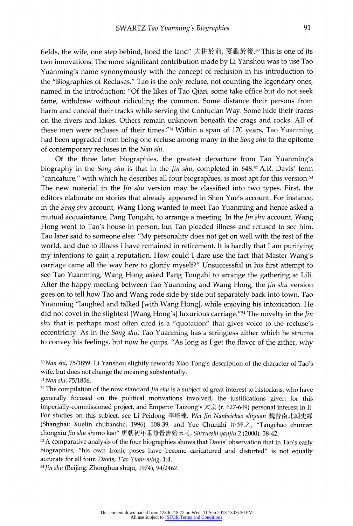fields, the wife, one step behind, hoed the land" 夫耕於前, 妻鋤於後.<sup>50</sup> This is one of its fields, the wife, one step behind, hoed the land" 天耕於前, 妻鋤於後.<sup>50</sup> This is one of its<br>two innovations. The more significant contribution made by Li Yanshou was to use Tao **Yuanming's name synonymously with the concept of reclusion in his introduction to the "Biographies of Recluses." Tao is the only recluse, not counting the legendary ones, named in the introduction: "Of the likes of Tao Qian, some take office but do not seek fame, withdraw without ridiculing the common. Some distance their persons from harm and conceal their tracks while serving the Confucian Way. Some hide their traces on the rivers and lakes. Others remain unknown beneath the crags and rocks. All of these men were recluses of their times."51 Within a span of 170 years, Tao Yuanming had been upgraded from being one recluse among many in the Song shu to the epitome of contemporary recluses in the Nan shi.** 

**Of the three later biographies, the greatest departure from Tao Yuanming's biography in the Song shu is that in the Jin shu, completed in 648.52 A.R. Davis' term "caricature," with which he describes all four biographies, is most apt for this version.53 The new material in the Jin shu version may be classified into two types. First, the editors elaborate on stories that already appeared in Shen Yue's account. For instance, in the Song shu account, Wang Hong wanted to meet Tao Yuanming and hence asked a mutual acquaintance, Pang Tongzhi, to arrange a meeting. In the Jin shu account, Wang Hong went to Tao's house in person, but Tao pleaded illness and refused to see him. Tao later said to someone else: "My personality does not get on well with the rest of the world, and due to illness I have remained in retirement. It is hardly that I am purifying my intentions to gain a reputation. How could I dare use the fact that Master Wang's carriage came all the way here to glorify myself?" Unsuccessful in his first attempt to see Tao Yuanming, Wang Hong asked Pang Tongzhi to arrange the gathering at Lili. After the happy meeting between Tao Yuanming and Wang Hong, the Jin shu version goes on to tell how Tao and Wang rode side by side but separately back into town. Tao Yuanming "laughed and talked [with Wang Hong], while enjoying his intoxication. He did not covet in the slightest [Wang Hong's] luxurious carriage."54 The novelty in the Jin shu that is perhaps most often cited is a "quotation" that gives voice to the recluse's eccentricity. As in the Song shu, Tao Yuanming has a stringless zither which he strums to convey his feelings, but now he quips, "As long as I get the flavor of the zither, why** 

**50Nan shi, 75/1859. Li Yanshou slightly rewords Xiao Tong's description of the character of Tao's wife, but does not change the meaning substantially.** 

**<sup>52</sup>The compilation of the now standard Jin shu is a subject of great interest to historians, who have generally focused on the political motivations involved, the justifications given for this imperially-commissioned project, and Emperor Taizong's (r. 627-649) personal interest in it. k** For studies on this subject, see Li Peidong 李培棟, Wei Jin Nanbeichao shiyuan 魏晉南北朝史 **(Shanghai: Xuelin chubanshe, 1996), 108-39, and Yue Chunzhi & "Tangchao chunian**  chongxiu *Jin shu* shimo kao" 唐朝初年重修晉書始末考, *Shixueshi yanjiu* 2 (2000): 38-42.<br><sup>53</sup> A comparative anglysis of the favo his avantice change that David also as the shi d

**53A comparative analysis of the four biographies shows that Davis' observation that in Tao's early biographies, "his own ironic poses have become caricatured and distorted" is not equally accurate for all four. Davis, T'ao Yiian-ming, 1:4.** 

**54Jin shu (Beijing: Zhonghua shuju, 1974), 94/2462.** 

**<sup>51</sup>Nan shi, 75/1856.**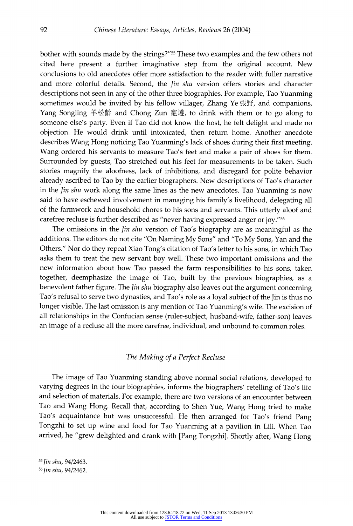**bother with sounds made by the strings?"55 These two examples and the few others not cited here present a further imaginative step from the original account. New conclusions to old anecdotes offer more satisfaction to the reader with fuller narrative and more colorful details. Second, the Jin shu version offers stories and character descriptions not seen in any of the other three biographies. For example, Tao Yuanming**  sometimes would be invited by his fellow villager, Zhang Ye 張野, and companions, Yang Songling 羊松齡 and Chong Zun 寵遵, to drink with them or to go along to **someone else's party. Even if Tao did not know the host, he felt delight and made no objection. He would drink until intoxicated, then return home. Another anecdote describes Wang Hong noticing Tao Yuanming's lack of shoes during their first meeting. Wang ordered his servants to measure Tao's feet and make a pair of shoes for them. Surrounded by guests, Tao stretched out his feet for measurements to be taken. Such stories magnify the aloofness, lack of inhibitions, and disregard for polite behavior already ascribed to Tao by the earlier biographers. New descriptions of Tao's character in the Jin shu work along the same lines as the new anecdotes. Tao Yuanming is now said to have eschewed involvement in managing his family's livelihood, delegating all of the farmwork and household chores to his sons and servants. This utterly aloof and carefree recluse is further described as "never having expressed anger or joy."56** 

**The omissions in the Jin shu version of Tao's biography are as meaningful as the additions. The editors do not cite "On Naming My Sons" and "To My Sons, Yan and the Others." Nor do they repeat Xiao Tong's citation of Tao's letter to his sons, in which Tao asks them to treat the new servant boy well. These two important omissions and the new information about how Tao passed the farm responsibilities to his sons, taken together, deemphasize the image of Tao, built by the previous biographies, as a benevolent father figure. The Jin shu biography also leaves out the argument concerning Tao's refusal to serve two dynasties, and Tao's role as a loyal subject of the Jin is thus no longer visible. The last omission is any mention of Tao Yuanming's wife. The excision of all relationships in the Confucian sense (ruler-subject, husband-wife, father-son) leaves an image of a recluse all the more carefree, individual, and unbound to common roles.** 

#### **The Making of a Perfect Recluse**

**The image of Tao Yuanming standing above normal social relations, developed to varying degrees in the four biographies, informs the biographers' retelling of Tao's life and selection of materials. For example, there are two versions of an encounter between Tao and Wang Hong. Recall that, according to Shen Yue, Wang Hong tried to make Tao's acquaintance but was unsuccessful. He then arranged for Tao's friend Pang Tongzhi to set up wine and food for Tao Yuanming at a pavilion in Lili. When Tao arrived, he "grew delighted and drank with [Pang Tongzhi]. Shortly after, Wang Hong** 

**55Jin shu, 94/2463. 56Jin shu, 94/2462.**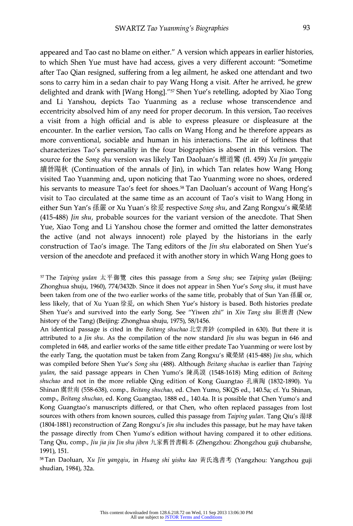**appeared and Tao cast no blame on either." A version which appears in earlier histories, to which Shen Yue must have had access, gives a very different account: "Sometime after Tao Qian resigned, suffering from a leg ailment, he asked one attendant and two sons to carry him in a sedan chair to pay Wang Hong a visit. After he arrived, he grew delighted and drank with [Wang Hong]."57 Shen Yue's retelling, adopted by Xiao Tong and Li Yanshou, depicts Tao Yuanming as a recluse whose transcendence and eccentricity absolved him of any need for proper decorum. In this version, Tao receives a visit from a high official and is able to express pleasure or displeasure at the encounter. In the earlier version, Tao calls on Wang Hong and he therefore appears as more conventional, sociable and human in his interactions. The air of loftiness that characterizes Tao's personality in the four biographies is absent in this version. The**  source for the *Song shu version was likely Tan Daoluan's 檀道鸞 (fl. 459) Xu Jin yangqiu* 續晉陽秋 (Continuation of the annals of Jin), in which Tan relates how Wang Hong **visited Tao Yuanming and, upon noticing that Tao Yuanming wore no shoes, ordered his servants to measure Tao's feet for shoes.58 Tan Daoluan's account of Wang Hong's visit to Tao circulated at the same time as an account of Tao's visit to Wang Hong in**  either Sun Yan's 孫嚴 or Xu Yuan's 徐爰 respective *Song shu,* and Zang Rongxu's 藏榮緒 (415-488) *Jin shu*, probable sources for the variant version of the anecdote. That Shen **Yue, Xiao Tong and Li Yanshou chose the former and omitted the latter demonstrates the active (and not always innocent) role played by the historians in the early construction of Tao's image. The Tang editors of the Jin shu elaborated on Shen Yue's version of the anecdote and prefaced it with another story in which Wang Hong goes to** 

**57The Taiping yulan -kff t~ cites this passage from a Song shu; see Taiping yulan (Beijing: Zhonghua shuju, 1960), 774/3432b. Since it does not appear in Shen Yue's Song shu, it must have**  been taken from one of the two earlier works of the same title, probably that of Sun Yan 孫嚴 or, less likely, that of Xu Yuan 徐爰, on which Shen Yue's history is based. Both histories predate Shen Yue's and survived into the early Song. See "Yiwen zhi" in Xin Tang shu 新唐書 (New **history of the Tang) (Beijing: Zhonghua shuju, 1975), 58/1456.** 

An identical passage is cited in the *Beitang shuchao* 北堂書鈔 (compiled in 630). But there it is **attributed to a Jin shu. As the compilation of the now standard Jin shu was begun in 646 and completed in 648, and earlier works of the same title either predate Tao Yuanming or were lost by**  the early Tang, the quotation must be taken from Zang Rongxu's 藏榮緒 (415-488) *Jin shu*, which **was compiled before Shen Yue's Song shu (488). Although Beitang shuchao is earlier than Taiping yulan, the said passage appears in Chen Yumo's ••Mi (1548-1618) Ming edition of Beitang**  shuchao and not in the more reliable Qing edition of Kong Guangtao 孔廣陶 (1832-1890). Yu **Shinan tftj~i (558-638), comp., Beitang shuchao, ed. Chen Yumo, SKQS ed., 140.5a; cf. Yu Shinan, comp., Beitang shuchao, ed. Kong Guangtao, 1888 ed., 140.4a. It is possible that Chen Yumo's and Kong Guangtao's manuscripts differed, or that Chen, who often replaced passages from lost**  sources with others from known sources, culled this passage from Taiping yulan. Tang Qiu's 湯球 **(1804-1881) reconstruction of Zang Rongxu's Jin shu includes this passage, but he may have taken the passage directly from Chen Yumo's edition without having compared it to other editions.**  Tang Qiu, comp., Jiu jia jiu Jin shu jiben 九家舊晉書輯本 (Zhengzhou: Zhongzhou guji chubanshe, **1991), 151.** 

<sup>58</sup>Tan Daoluan, *Xu Jin yangqiu,* in *Huang shi yishu kao* 黃氏逸書考 (Yangzhou: Yangzhou guji )<br>shudian, 1984), 32a. **shudian, 1984), 32a.**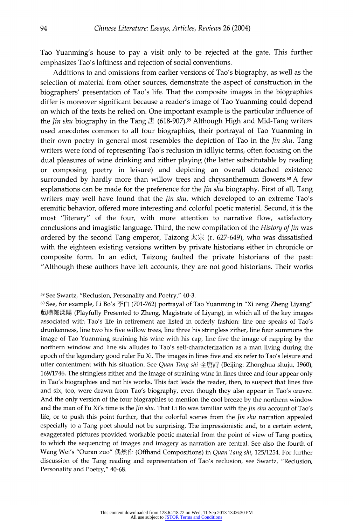**Tao Yuanming's house to pay a visit only to be rejected at the gate. This further emphasizes Tao's loftiness and rejection of social conventions.** 

**Additions to and omissions from earlier versions of Tao's biography, as well as the selection of material from other sources, demonstrate the aspect of construction in the biographers' presentation of Tao's life. That the composite images in the biographies differ is moreover significant because a reader's image of Tao Yuanming could depend on which of the texts he relied on. One important example is the particular influence of**  the *Jin shu* biography in the Tang 唐 (618-907).<sup>59</sup> Although High and Mid-Tang writers **used anecdotes common to all four biographies, their portrayal of Tao Yuanming in their own poetry in general most resembles the depiction of Tao in the Jin shu. Tang writers were fond of representing Tao's reclusion in idllyic terms, often focusing on the dual pleasures of wine drinking and zither playing (the latter substitutable by reading or composing poetry in leisure) and depicting an overall detached existence surrounded by hardly more than willow trees and chrysanthemum flowers.60 A few explanations can be made for the preference for the Jin shu biography. First of all, Tang writers may well have found that the Jin shu, which developed to an extreme Tao's eremitic behavior, offered more interesting and colorful poetic material. Second, it is the most "literary" of the four, with more attention to narrative flow, satisfactory conclusions and imagistic language. Third, the new compilation of the History of Jin was**  ordered by the second Tang emperor, Taizong  $\overline{X}$   $\overline{R}$  (r. 627-649), who was dissatisfied **with the eighteen existing versions written by private historians either in chronicle or composite form. In an edict, Taizong faulted the private historians of the past: "Although these authors have left accounts, they are not good historians. Their works** 

<sup>60</sup> See, for example, Li Bo's 李白 (701-762) portrayal of Tao Yuanming in "Xi zeng Zheng Liyang"  $B<sub>g</sub>$  Might all presented to Zheng, Magistrate of Liyang), in which all of the key images **associated with Tao's life in retirement are listed in orderly fashion: line one speaks of Tao's drunkenness, line two his five willow trees, line three his stringless zither, line four summons the image of Tao Yuanming straining his wine with his cap, line five the image of napping by the northern window and line six alludes to Tao's self-characterization as a man living during the epoch of the legendary good ruler Fu Xi. The images in lines five and six refer to Tao's leisure and**  utter contentment with his situation. See *Quan Tang shi* 全唐詩 (Beijing: Zhonghua shuju, 1960), **169/1746. The stringless zither and the image of straining wine in lines three and four appear only in Tao's biographies and not his works. This fact leads the reader, then, to suspect that lines five**  and six, too, were drawn from Tao's biography, even though they also appear in Tao's œuvre. **And the only version of the four biographies to mention the cool breeze by the northern window and the man of Fu Xi's time is the Jin shu. That Li Bo was familiar with the Jin shu account of Tao's life, or to push this point further, that the colorful scenes from the Jin shu narration appealed especially to a Tang poet should not be surprising. The impressionistic and, to a certain extent, exaggerated pictures provided workable poetic material from the point of view of Tang poetics, to which the sequencing of images and imagery as narration are central. See also the fourth of**  Wang Wei's "Ouran zuo" 偶然作 (Offhand Compositions) in Quan Tang shi, 125/1254. For further **discussion of the Tang reading and representation of Tao's reclusion, see Swartz, "Reclusion, Personality and Poetry," 40-68.** 

**<sup>59</sup> See Swartz, "Reclusion, Personality and Poetry," 40-3.**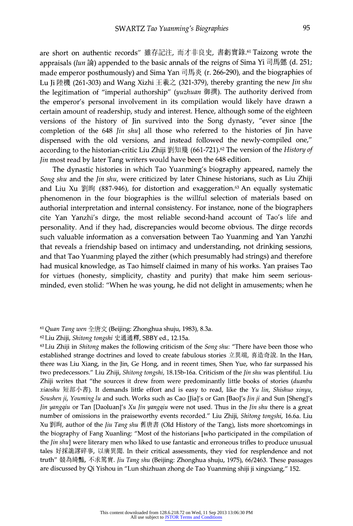**are short on authentic records" 雖存記注, 而才非艮史, 書虧貫錄.<sup>61</sup> Taizong wrote the are short of all of the set of the set of the set of the set of the set of the set of the set of the set of the set of the set of the set of the se** are short on authentic records **<sub>班什能在,</sub> 而才平度文, 言虧真***或***。 raizong wrote the**<br>appraisals (lun 論) appended to the basic annals of the reigns of Sima Yi 司馬懿 (d. 251; made emperor posthumously) and Sima Yan 司馬炎 (r. 266-290), and the biographies of Lu Ji 陸機 (261-303) and Wang Xizhi 王羲之 (321-379), thereby granting the new *Jin shu* **the legitimation of "imperial authorship" (yuzhuan The authority derived from**  the emperor's personal involvement in its compilation would likely have drawn a **certain amount of readership, study and interest. Hence, although some of the eighteen versions of the history of Jin survived into the Song dynasty, "ever since [the completion of the 648 Jin shu] all those who referred to the histories of Jin have dispensed with the old versions, and instead followed the newly-compiled one,"**  according to the historian-critic Liu Zhiji 劉知幾 (661-721).<sup>62</sup> The version of the *History of* **Jin most read by later Tang writers would have been the 648 edition.** 

**The dynastic histories in which Tao Yuanming's biography appeared, namely the Song shu and the Jin shu, were criticized by later Chinese historians, such as Liu Zhiji**  and Liu Xu 劉昫 (887-946), for distortion and exaggeration.<sup>63</sup> An equally systematic **phenomenon in the four biographies is the willful selection of materials based on authorial interpretation and internal consistency. For instance, none of the biographers cite Yan Yanzhi's dirge, the most reliable second-hand account of Tao's life and personality. And if they had, discrepancies would become obvious. The dirge records such valuable information as a conversation between Tao Yuanming and Yan Yanzhi that reveals a friendship based on intimacy and understanding, not drinking sessions, and that Tao Yuanming played the zither (which presumably had strings) and therefore had musical knowledge, as Tao himself claimed in many of his works. Yan praises Tao for virtues (honesty, simplicity, chastity and purity) that make him seem seriousminded, even stolid: "When he was young, he did not delight in amusements; when he** 

**<sup>61</sup>Quan Tang wen #J\* (Beijing: Zhonghua shuju, 1983), 8.3a.** 

**<sup>62</sup>Liu Zhiji, Shitong tongshi IAMY, SBBY ed., 12.15a.** 

**<sup>63</sup>Liu Zhiji in Shitong makes the following criticism of the Song shu: "There have been those who**  established strange doctrines and loved to create fabulous stories 立異端, 喜造奇說. In the Han, **there was Liu Xiang, in the Jin, Ge Hong, and in recent times, Shen Yue, who far surpassed his two predecessors." Liu Zhiji, Shitong tongshi, 18.15b-16a. Criticism of the Jin shu was plentiful. Liu Zhiji writes that "the sources it drew from were predominantly little books of stories (duanbu xiaoshu ~Hij' ). It demands little effort and is easy to read, like the Yu lin, Shishuo xinyu, Soushen ji, Youming lu and such. Works such as Cao [Jia]'s or Gan [Bao]'s Jin ji and Sun [Sheng]'s Jin yangqiu or Tan [Daoluan]'s Xu Jin yangqiu were not used. Thus in the Jin shu there is a great number of omissions in the praiseworthy events recorded." Liu Zhiji, Shitong tongshi, 16.6a. Liu**  Xu 劉昫, author of the *Jiu Tang shu* 舊唐書 (Old History of the Tang), lists more shortcomings in **the biography of Fang Xuanling: "Most of the historians [who participated in the compilation of the Jin shu] were literary men who liked to use fantastic and erroneous trifles to produce unusual**  tales 好採詭謬碎事, 以廣異聞. In their critical assessments, they vied for resplendence and not<br>truth" 競為綺豔 不求質實 *Jiu Tang shu (*Beijing: Zhonghua shuju 1975), 66/2463. These nassages **truth" fi@A , \$4\$11?. Jiu Tang shu (Beijing: Zhonghua shuju, 1975), 66/2463. These passages are discussed by Qi Yishou in "Lun shizhuan zhong de Tao Yuanming shiji ji xingxiang," 152.**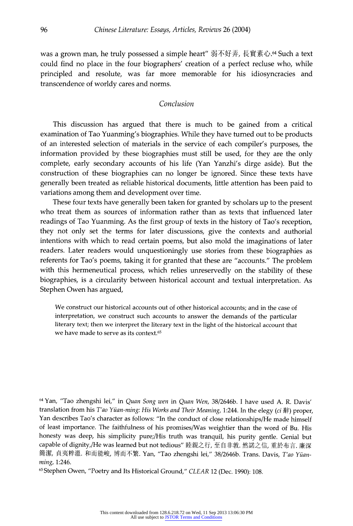**was a grown man, he truly possessed a simple heart" 1 L.64 Such a text**  could find no place in the four biographers' creation of a perfect recluse who, while **principled and resolute, was far more memorable for his idiosyncracies and transcendence of worldy cares and norms.** 

#### **Conclusion**

**This discussion has argued that there is much to be gained from a critical examination of Tao Yuanming's biographies. While they have turned out to be products of an interested selection of materials in the service of each compiler's purposes, the information provided by these biographies must still be used, for they are the only complete, early secondary accounts of his life (Yan Yanzhi's dirge aside). But the construction of these biographies can no longer be ignored. Since these texts have generally been treated as reliable historical documents, little attention has been paid to variations among them and development over time.** 

**These four texts have generally been taken for granted by scholars up to the present who treat them as sources of information rather than as texts that influenced later readings of Tao Yuanming. As the first group of texts in the history of Tao's reception, they not only set the terms for later discussions, give the contexts and authorial intentions with which to read certain poems, but also mold the imaginations of later readers. Later readers would unquestioningly use stories from these biographies as referents for Tao's poems, taking it for granted that these are "accounts." The problem with this hermeneutical process, which relies unreservedly on the stability of these biographies, is a circularity between historical account and textual interpretation. As Stephen Owen has argued,** 

**We construct our historical accounts out of other historical accounts; and in the case of interpretation, we construct such accounts to answer the demands of the particular literary text; then we interpret the literary text in the light of the historical account that we have made to serve as its context.65** 

**64 Yan, "Tao zhengshi lei," in Quan Song wen in Quan Wen, 38/2646b. I have used A. R. Davis'**  translation from his T'ao Yüan-ming: His Works and Their Meaning, 1:244. In the elegy (ci 辭) proper, **Yan describes Tao's character as follows: "In the conduct of close relationships/He made himself of least importance. The faithfulness of his promises/Was weightier than the word of Bu. His honesty was deep, his simplicity pure;/His truth was tranquil, his purity gentle. Genial but**  capable of dignity,/He was learned but not tedious" 睦親之行, 至自非敦. 然諾之信, **•:,UY., A2.-g W, W. gg• <sup>M</sup> , 1f. . @ h, fV . Yan, "Tao zhengshi lei," 38/2646b. Trans. Davis, T'ao Yiian-, ming, 1:246.** 

**65Stephen Owen, "Poetry and Its Historical Ground," CLEAR 12 (Dec. 1990): 108.**